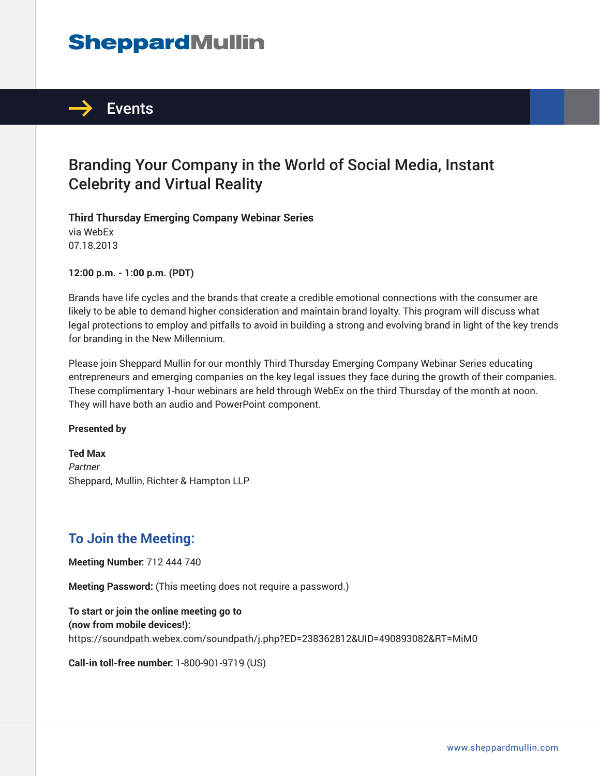# **SheppardMullin**



# Branding Your Company in the World of Social Media, Instant Celebrity and Virtual Reality

**Third Thursday Emerging Company Webinar Series** via WebEx 07.18.2013

**12:00 p.m. - 1:00 p.m. (PDT)**

Brands have life cycles and the brands that create a credible emotional connections with the consumer are likely to be able to demand higher consideration and maintain brand loyalty. This program will discuss what legal protections to employ and pitfalls to avoid in building a strong and evolving brand in light of the key trends for branding in the New Millennium.

Please join Sheppard Mullin for our monthly Third Thursday Emerging Company Webinar Series educating entrepreneurs and emerging companies on the key legal issues they face during the growth of their companies. These complimentary 1-hour webinars are held through WebEx on the third Thursday of the month at noon. They will have both an audio and PowerPoint component.

#### **Presented by**

**Ted Max** *Partner* Sheppard, Mullin, Richter & Hampton LLP

## **To Join the Meeting:**

**Meeting Number:** 712 444 740

**Meeting Password:** (This meeting does not require a password.)

**To start or join the online meeting go to (now from mobile devices!):** https://soundpath.webex.com/soundpath/j.php?ED=238362812&UID=490893082&RT=MiM0

**Call-in toll-free number:** 1-800-901-9719 (US)